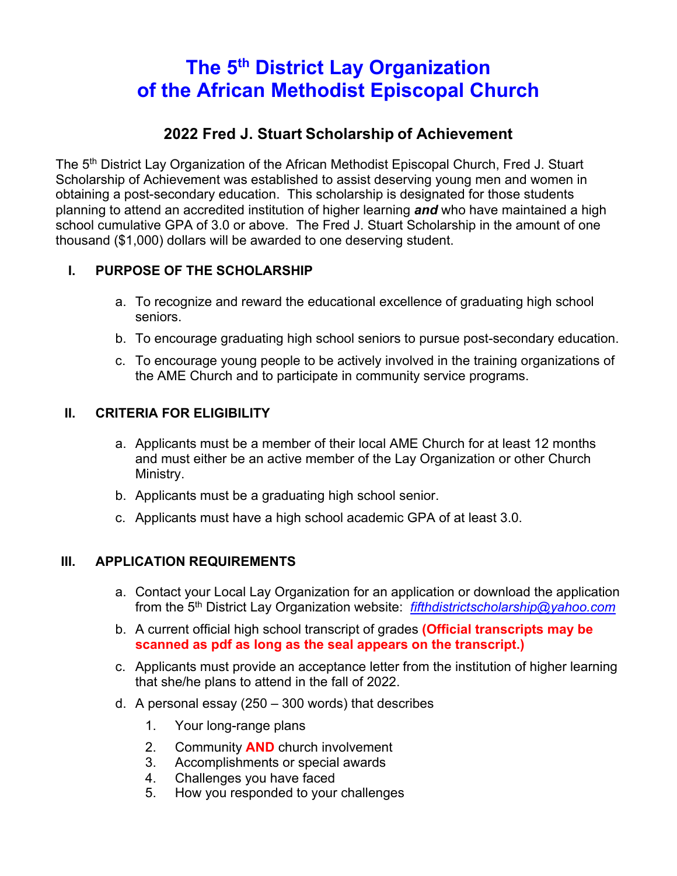# **The 5th District Lay Organization of the African Methodist Episcopal Church**

### **2022 Fred J. Stuart Scholarship of Achievement**

The 5<sup>th</sup> District Lay Organization of the African Methodist Episcopal Church, Fred J. Stuart Scholarship of Achievement was established to assist deserving young men and women in obtaining a post-secondary education. This scholarship is designated for those students planning to attend an accredited institution of higher learning *and* who have maintained a high school cumulative GPA of 3.0 or above. The Fred J. Stuart Scholarship in the amount of one thousand (\$1,000) dollars will be awarded to one deserving student.

### **I. PURPOSE OF THE SCHOLARSHIP**

- a. To recognize and reward the educational excellence of graduating high school seniors.
- b. To encourage graduating high school seniors to pursue post-secondary education.
- c. To encourage young people to be actively involved in the training organizations of the AME Church and to participate in community service programs.

#### **II. CRITERIA FOR ELIGIBILITY**

- a. Applicants must be a member of their local AME Church for at least 12 months and must either be an active member of the Lay Organization or other Church Ministry.
- b. Applicants must be a graduating high school senior.
- c. Applicants must have a high school academic GPA of at least 3.0.

#### **III. APPLICATION REQUIREMENTS**

- a. Contact your Local Lay Organization for an application or download the application from the 5th District Lay Organization website: *fifthdistrictscholarship@yahoo.com*
- b. A current official high school transcript of grades **(Official transcripts may be scanned as pdf as long as the seal appears on the transcript.)**
- c. Applicants must provide an acceptance letter from the institution of higher learning that she/he plans to attend in the fall of 2022.
- d. A personal essay (250 300 words) that describes
	- 1. Your long-range plans
	- 2. Community **AND** church involvement
	- 3. Accomplishments or special awards
	- 4. Challenges you have faced
	- 5. How you responded to your challenges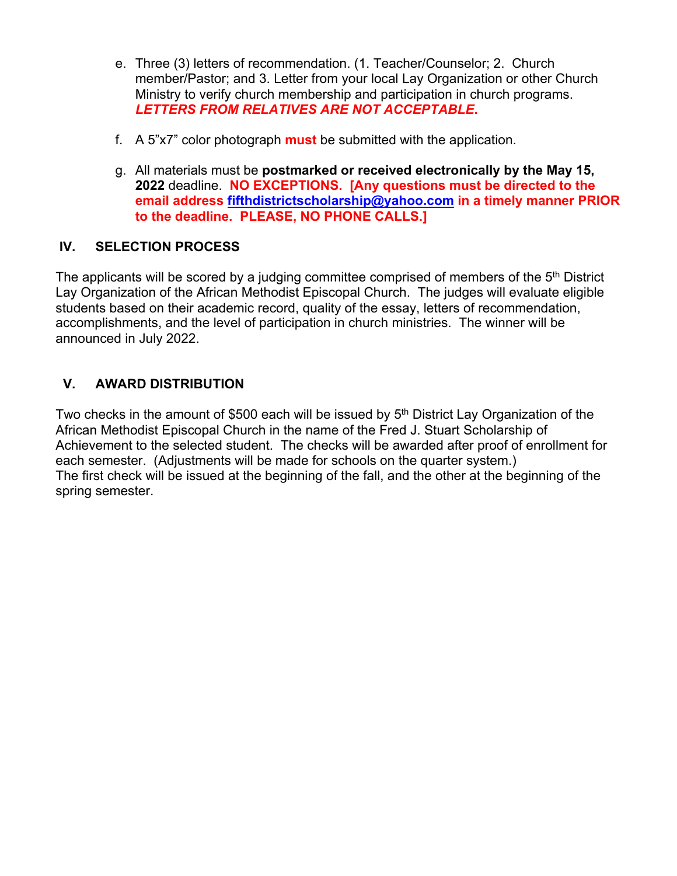- e. Three (3) letters of recommendation. (1. Teacher/Counselor; 2. Church member/Pastor; and 3. Letter from your local Lay Organization or other Church Ministry to verify church membership and participation in church programs. *LETTERS FROM RELATIVES ARE NOT ACCEPTABLE***.**
- f. A 5"x7" color photograph **must** be submitted with the application.
- g. All materials must be **postmarked or received electronically by the May 15, 2022** deadline. **NO EXCEPTIONS. [Any questions must be directed to the email address fifthdistrictscholarship@yahoo.com in a timely manner PRIOR to the deadline. PLEASE, NO PHONE CALLS.]**

#### **IV. SELECTION PROCESS**

The applicants will be scored by a judging committee comprised of members of the  $5<sup>th</sup>$  District Lay Organization of the African Methodist Episcopal Church. The judges will evaluate eligible students based on their academic record, quality of the essay, letters of recommendation, accomplishments, and the level of participation in church ministries. The winner will be announced in July 2022.

#### **V. AWARD DISTRIBUTION**

Two checks in the amount of \$500 each will be issued by 5<sup>th</sup> District Lay Organization of the African Methodist Episcopal Church in the name of the Fred J. Stuart Scholarship of Achievement to the selected student. The checks will be awarded after proof of enrollment for each semester. (Adjustments will be made for schools on the quarter system.) The first check will be issued at the beginning of the fall, and the other at the beginning of the spring semester.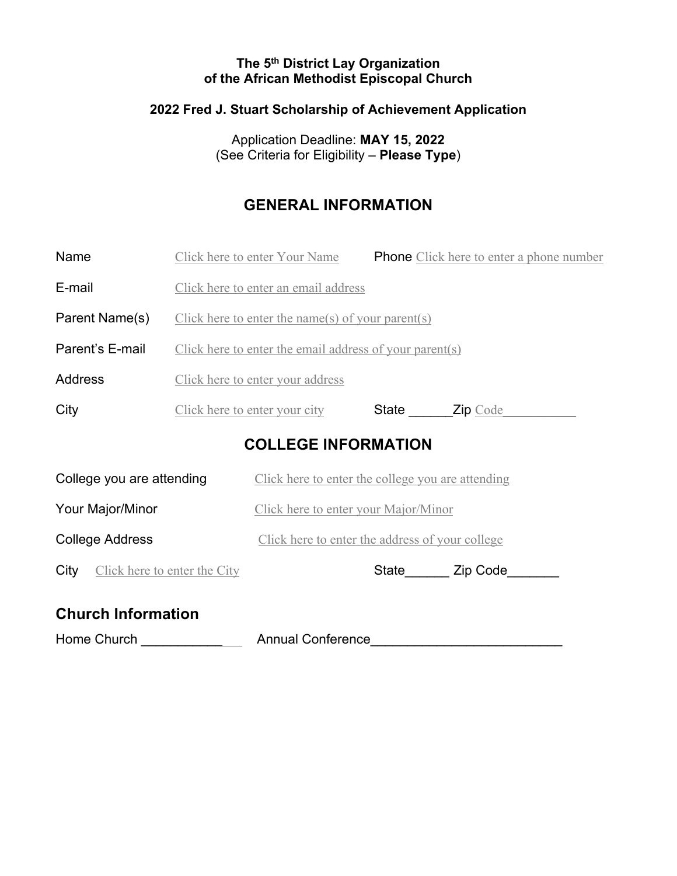#### **The 5th District Lay Organization of the African Methodist Episcopal Church**

## **2022 Fred J. Stuart Scholarship of Achievement Application**

Application Deadline: **MAY 15, 2022** (See Criteria for Eligibility – **Please Type**)

### **GENERAL INFORMATION**

| Name                                 |                                                         | Click here to enter Your Name                     |                | <b>Phone</b> Click here to enter a phone number |
|--------------------------------------|---------------------------------------------------------|---------------------------------------------------|----------------|-------------------------------------------------|
| E-mail                               |                                                         | Click here to enter an email address              |                |                                                 |
| Parent Name(s)                       | Click here to enter the name(s) of your parent(s)       |                                                   |                |                                                 |
| Parent's E-mail                      | Click here to enter the email address of your parent(s) |                                                   |                |                                                 |
| <b>Address</b>                       | Click here to enter your address                        |                                                   |                |                                                 |
| City                                 |                                                         | Click here to enter your city                     | State Zip Code |                                                 |
| <b>COLLEGE INFORMATION</b>           |                                                         |                                                   |                |                                                 |
| College you are attending            |                                                         | Click here to enter the college you are attending |                |                                                 |
| Your Major/Minor                     |                                                         | Click here to enter your Major/Minor              |                |                                                 |
| <b>College Address</b>               |                                                         | Click here to enter the address of your college   |                |                                                 |
| Click here to enter the City<br>City |                                                         |                                                   |                | State Zip Code                                  |
| <b>Church Information</b>            |                                                         |                                                   |                |                                                 |

### **Church Information**

Home Church \_\_\_\_\_\_\_\_\_\_\_\_\_\_ Annual Conference\_\_\_\_\_\_\_\_\_\_\_\_\_\_\_\_\_\_\_\_\_\_\_\_\_\_